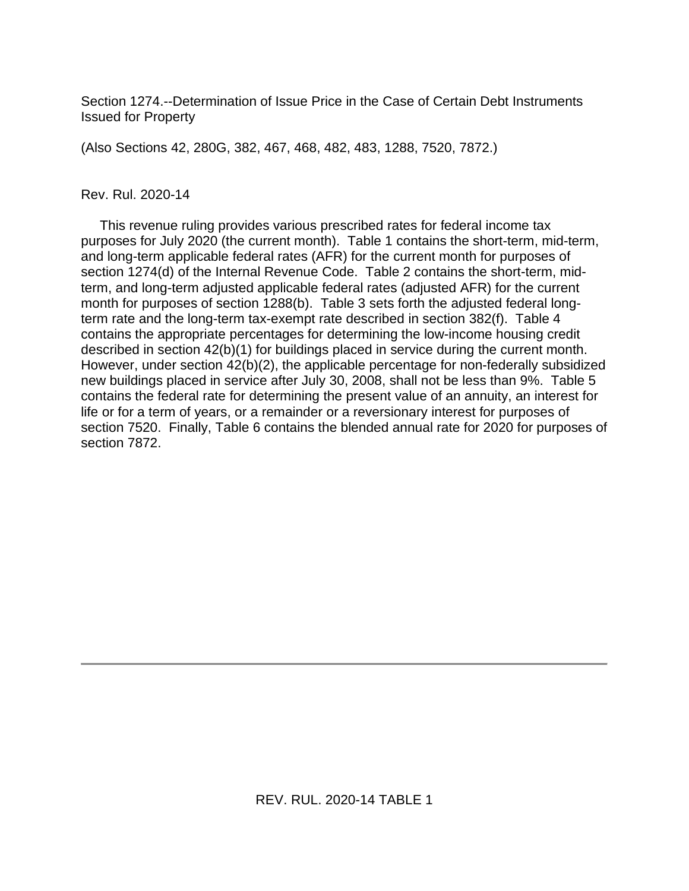Section 1274.--Determination of Issue Price in the Case of Certain Debt Instruments Issued for Property

(Also Sections 42, 280G, 382, 467, 468, 482, 483, 1288, 7520, 7872.)

#### Rev. Rul. 2020-14

 This revenue ruling provides various prescribed rates for federal income tax purposes for July 2020 (the current month). Table 1 contains the short-term, mid-term, and long-term applicable federal rates (AFR) for the current month for purposes of section 1274(d) of the Internal Revenue Code. Table 2 contains the short-term, midterm, and long-term adjusted applicable federal rates (adjusted AFR) for the current month for purposes of section 1288(b). Table 3 sets forth the adjusted federal longterm rate and the long-term tax-exempt rate described in section 382(f). Table 4 contains the appropriate percentages for determining the low-income housing credit described in section 42(b)(1) for buildings placed in service during the current month. However, under section 42(b)(2), the applicable percentage for non-federally subsidized new buildings placed in service after July 30, 2008, shall not be less than 9%. Table 5 contains the federal rate for determining the present value of an annuity, an interest for life or for a term of years, or a remainder or a reversionary interest for purposes of section 7520. Finally, Table 6 contains the blended annual rate for 2020 for purposes of section 7872.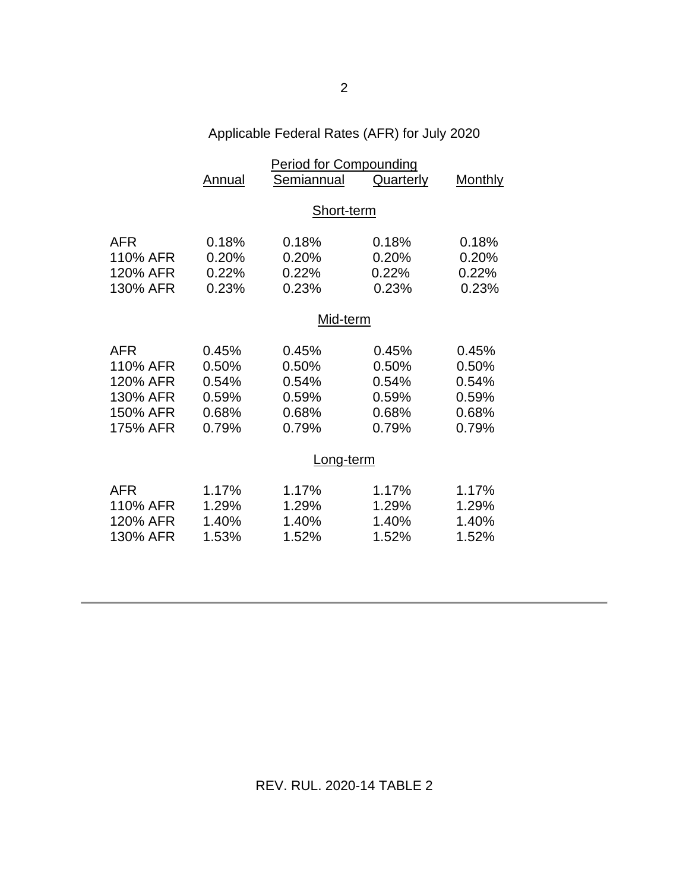# Applicable Federal Rates (AFR) for July 2020

|                                                                        | Annual                                             | <b>Period for Compounding</b><br>Semiannual        | Quarterly                                          | Monthly                                            |
|------------------------------------------------------------------------|----------------------------------------------------|----------------------------------------------------|----------------------------------------------------|----------------------------------------------------|
|                                                                        |                                                    | Short-term                                         |                                                    |                                                    |
| <b>AFR</b><br>110% AFR<br>120% AFR<br>130% AFR                         | 0.18%<br>0.20%<br>0.22%<br>0.23%                   | 0.18%<br>0.20%<br>0.22%<br>0.23%                   | 0.18%<br>0.20%<br>0.22%<br>0.23%                   | 0.18%<br>0.20%<br>0.22%<br>0.23%                   |
|                                                                        | Mid-term                                           |                                                    |                                                    |                                                    |
| <b>AFR</b><br>110% AFR<br>120% AFR<br>130% AFR<br>150% AFR<br>175% AFR | 0.45%<br>0.50%<br>0.54%<br>0.59%<br>0.68%<br>0.79% | 0.45%<br>0.50%<br>0.54%<br>0.59%<br>0.68%<br>0.79% | 0.45%<br>0.50%<br>0.54%<br>0.59%<br>0.68%<br>0.79% | 0.45%<br>0.50%<br>0.54%<br>0.59%<br>0.68%<br>0.79% |
|                                                                        |                                                    | Long-term                                          |                                                    |                                                    |
| AFR<br>110% AFR<br>120% AFR<br>130% AFR                                | 1.17%<br>1.29%<br>1.40%<br>1.53%                   | 1.17%<br>1.29%<br>1.40%<br>1.52%                   | 1.17%<br>1.29%<br>1.40%<br>1.52%                   | 1.17%<br>1.29%<br>1.40%<br>1.52%                   |

REV. RUL. 2020-14 TABLE 2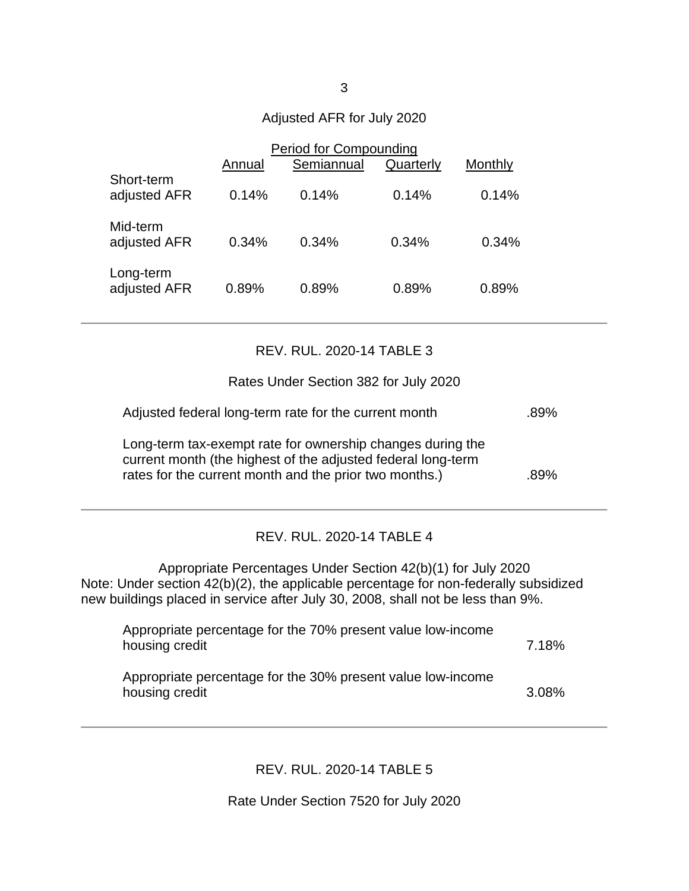# Adjusted AFR for July 2020

|                            | <b>Period for Compounding</b> |            |           |         |
|----------------------------|-------------------------------|------------|-----------|---------|
|                            | Annual                        | Semiannual | Quarterly | Monthly |
| Short-term<br>adjusted AFR | 0.14%                         | 0.14%      | 0.14%     | 0.14%   |
| Mid-term<br>adjusted AFR   | 0.34%                         | 0.34%      | 0.34%     | 0.34%   |
| Long-term<br>adjusted AFR  | 0.89%                         | 0.89%      | 0.89%     | 0.89%   |

### REV. RUL. 2020-14 TABLE 3

Rates Under Section 382 for July 2020

| Adjusted federal long-term rate for the current month                                                                                                                                | .89% |
|--------------------------------------------------------------------------------------------------------------------------------------------------------------------------------------|------|
| Long-term tax-exempt rate for ownership changes during the<br>current month (the highest of the adjusted federal long-term<br>rates for the current month and the prior two months.) | .89% |

## REV. RUL. 2020-14 TABLE 4

Appropriate Percentages Under Section 42(b)(1) for July 2020 Note: Under section 42(b)(2), the applicable percentage for non-federally subsidized new buildings placed in service after July 30, 2008, shall not be less than 9%.

| Appropriate percentage for the 70% present value low-income<br>housing credit | 7.18% |
|-------------------------------------------------------------------------------|-------|
| Appropriate percentage for the 30% present value low-income<br>housing credit | 3.08% |

REV. RUL. 2020-14 TABLE 5

Rate Under Section 7520 for July 2020